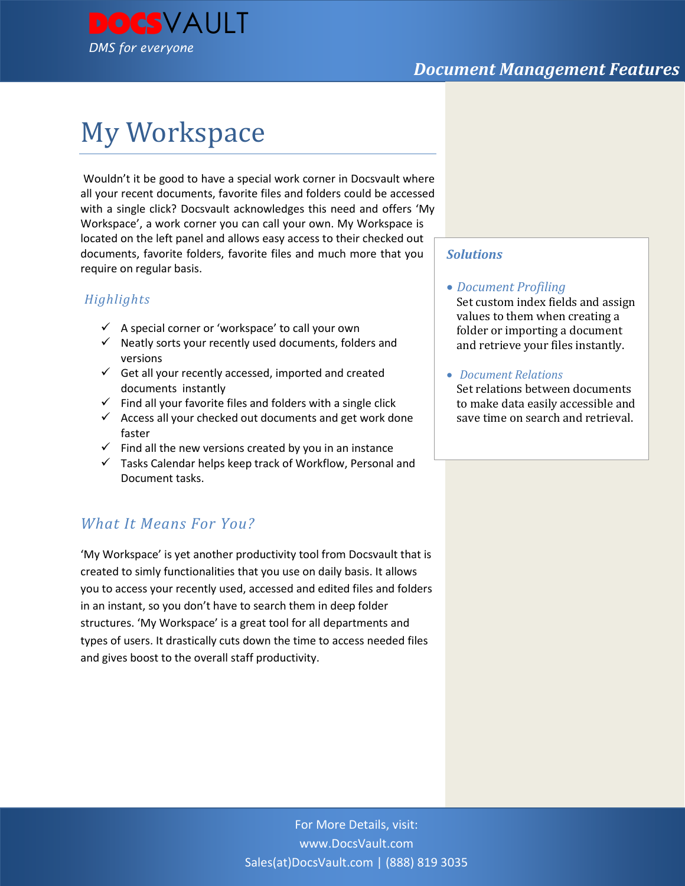

# My Workspace

Wouldn't it be good to have a special work corner in Docsvault where all your recent documents, favorite files and folders could be accessed with a single click? Docsvault acknowledges this need and offers 'My Workspace', a work corner you can call your own. My Workspace is located on the left panel and allows easy access to their checked out documents, favorite folders, favorite files and much more that you require on regular basis.

### *Highlights*

- $\checkmark$  A special corner or 'workspace' to call your own
- $\checkmark$  Neatly sorts your recently used documents, folders and versions
- $\checkmark$  Get all your recently accessed, imported and created documents instantly
- $\checkmark$  Find all your favorite files and folders with a single click
- $\checkmark$  Access all your checked out documents and get work done faster
- $\checkmark$  Find all the new versions created by you in an instance
- $\checkmark$  Tasks Calendar helps keep track of Workflow, Personal and Document tasks.

## *What It Means For You?*

'My Workspace' is yet another productivity tool from Docsvault that is created to simly functionalities that you use on daily basis. It allows you to access your recently used, accessed and edited files and folders in an instant, so you don't have to search them in deep folder structures. 'My Workspace' is a great tool for all departments and types of users. It drastically cuts down the time to access needed files and gives boost to the overall staff productivity.

#### *Solutions*

#### *Document Profiling*

Set custom index fields and assign values to them when creating a folder or importing a document and retrieve your files instantly.

*Document Relations*

Set relations between documents to make data easily accessible and save time on search and retrieval.